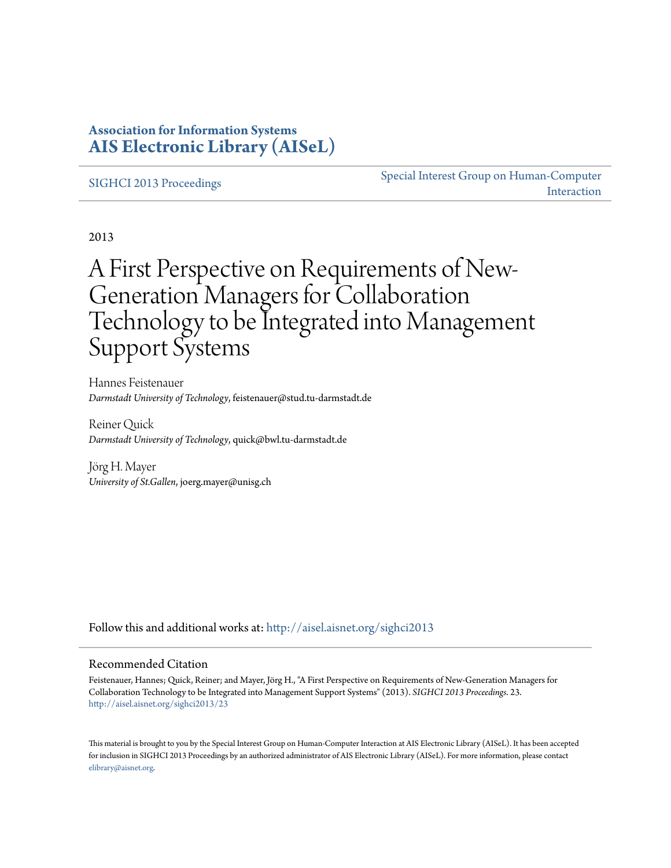### **Association for Information Systems [AIS Electronic Library \(AISeL\)](http://aisel.aisnet.org?utm_source=aisel.aisnet.org%2Fsighci2013%2F23&utm_medium=PDF&utm_campaign=PDFCoverPages)**

#### [SIGHCI 2013 Proceedings](http://aisel.aisnet.org/sighci2013?utm_source=aisel.aisnet.org%2Fsighci2013%2F23&utm_medium=PDF&utm_campaign=PDFCoverPages)

[Special Interest Group on Human-Computer](http://aisel.aisnet.org/sighci?utm_source=aisel.aisnet.org%2Fsighci2013%2F23&utm_medium=PDF&utm_campaign=PDFCoverPages) [Interaction](http://aisel.aisnet.org/sighci?utm_source=aisel.aisnet.org%2Fsighci2013%2F23&utm_medium=PDF&utm_campaign=PDFCoverPages)

2013

# A First Perspective on Requirements of New-Generation Managers for Collaboration Technology to be Integrated into Management Support Systems

Hannes Feistenauer *Darmstadt University of Technology*, feistenauer@stud.tu-darmstadt.de

Reiner Quick *Darmstadt University of Technology*, quick@bwl.tu-darmstadt.de

Jörg H. Mayer *University of St.Gallen*, joerg.mayer@unisg.ch

Follow this and additional works at: [http://aisel.aisnet.org/sighci2013](http://aisel.aisnet.org/sighci2013?utm_source=aisel.aisnet.org%2Fsighci2013%2F23&utm_medium=PDF&utm_campaign=PDFCoverPages)

#### Recommended Citation

Feistenauer, Hannes; Quick, Reiner; and Mayer, Jörg H., "A First Perspective on Requirements of New-Generation Managers for Collaboration Technology to be Integrated into Management Support Systems" (2013). *SIGHCI 2013 Proceedings*. 23. [http://aisel.aisnet.org/sighci2013/23](http://aisel.aisnet.org/sighci2013/23?utm_source=aisel.aisnet.org%2Fsighci2013%2F23&utm_medium=PDF&utm_campaign=PDFCoverPages)

This material is brought to you by the Special Interest Group on Human-Computer Interaction at AIS Electronic Library (AISeL). It has been accepted for inclusion in SIGHCI 2013 Proceedings by an authorized administrator of AIS Electronic Library (AISeL). For more information, please contact [elibrary@aisnet.org.](mailto:elibrary@aisnet.org%3E)